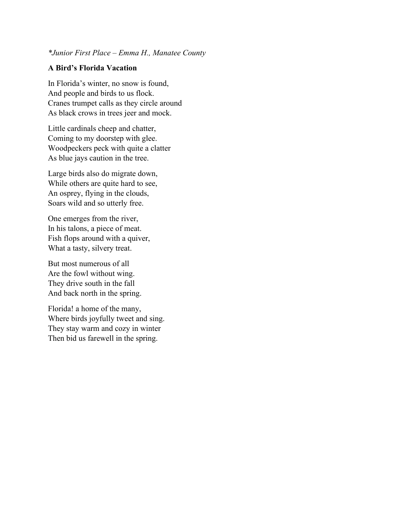#### *\*Junior First Place – Emma H., Manatee County*

### **A Bird's Florida Vacation**

In Florida's winter, no snow is found, And people and birds to us flock. Cranes trumpet calls as they circle around As black crows in trees jeer and mock.

Little cardinals cheep and chatter, Coming to my doorstep with glee. Woodpeckers peck with quite a clatter As blue jays caution in the tree.

Large birds also do migrate down, While others are quite hard to see, An osprey, flying in the clouds, Soars wild and so utterly free.

One emerges from the river, In his talons, a piece of meat. Fish flops around with a quiver, What a tasty, silvery treat.

But most numerous of all Are the fowl without wing. They drive south in the fall And back north in the spring.

Florida! a home of the many, Where birds joyfully tweet and sing. They stay warm and cozy in winter Then bid us farewell in the spring.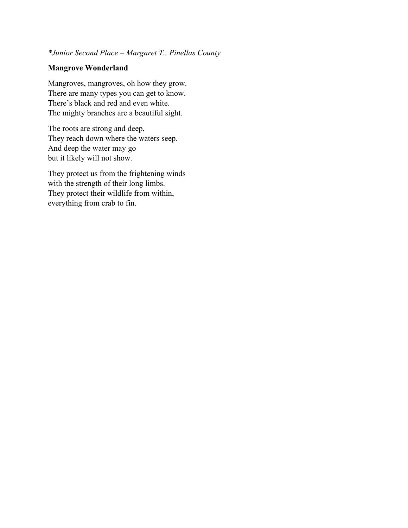### *\*Junior Second Place – Margaret T., Pinellas County*

### **Mangrove Wonderland**

Mangroves, mangroves, oh how they grow. There are many types you can get to know. There's black and red and even white. The mighty branches are a beautiful sight.

The roots are strong and deep, They reach down where the waters seep. And deep the water may go but it likely will not show.

They protect us from the frightening winds with the strength of their long limbs. They protect their wildlife from within, everything from crab to fin.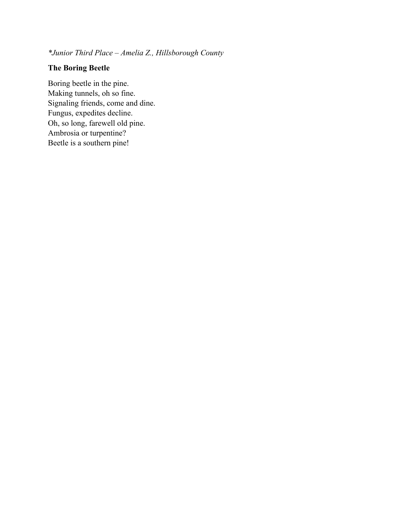*\*Junior Third Place – Amelia Z., Hillsborough County*

## **The Boring Beetle**

Boring beetle in the pine. Making tunnels, oh so fine. Signaling friends, come and dine. Fungus, expedites decline. Oh, so long, farewell old pine. Ambrosia or turpentine? Beetle is a southern pine!